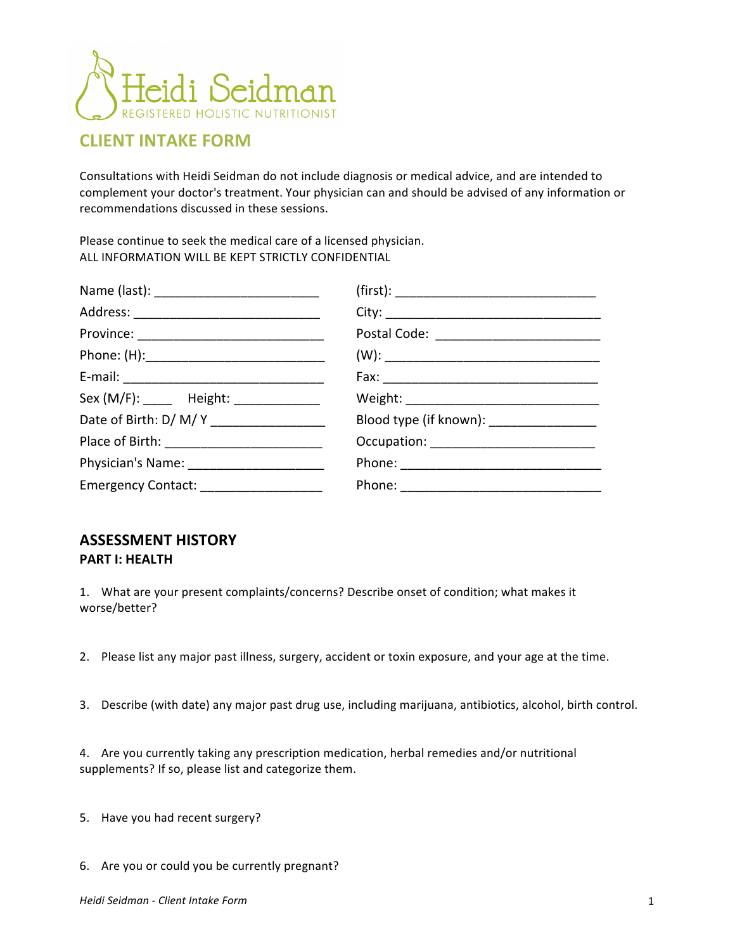

## **CLIENT INTAKE FORM**

Consultations with Heidi Seidman do not include diagnosis or medical advice, and are intended to complement your doctor's treatment. Your physician can and should be advised of any information or recommendations discussed in these sessions.

Please continue to seek the medical care of a licensed physician. ALL INFORMATION WILL BE KEPT STRICTLY CONFIDENTIAL

| Province: ___________________________________ |                                          |
|-----------------------------------------------|------------------------------------------|
|                                               |                                          |
|                                               |                                          |
| Sex (M/F): ______ Height: _____________       |                                          |
| Date of Birth: D/ M/ Y _________________      | Blood type (if known): _________________ |
|                                               |                                          |
|                                               |                                          |
| Emergency Contact: ____________________       |                                          |

## **ASSESSMENT'HISTORY PART I: HEALTH**

1. What are your present complaints/concerns? Describe onset of condition; what makes it worse/better?

- 2. Please list any major past illness, surgery, accident or toxin exposure, and your age at the time.
- 3. Describe (with date) any major past drug use, including marijuana, antibiotics, alcohol, birth control.

4. Are you currently taking any prescription medication, herbal remedies and/or nutritional supplements? If so, please list and categorize them.

- 5. Have you had recent surgery?
- 6. Are you or could you be currently pregnant?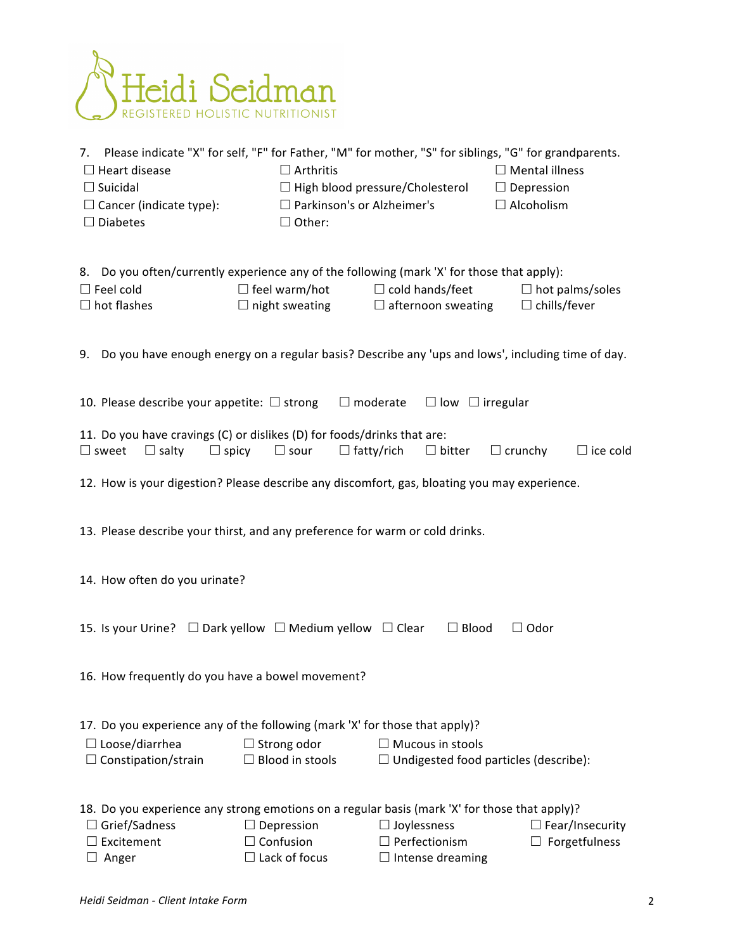

| 7. Please indicate "X" for self, "F" for Father, "M" for mother, "S" for siblings, "G" for grandparents.<br>$\Box$ Heart disease<br>$\Box$ Suicidal<br>$\Box$ Cancer (indicate type):<br>$\Box$ Diabetes | $\Box$ Arthritis<br>$\Box$ Parkinson's or Alzheimer's<br>$\Box$ Other: | $\Box$ High blood pressure/Cholesterol                                  | $\Box$ Mental illness<br>$\Box$ Depression<br>$\Box$ Alcoholism |
|----------------------------------------------------------------------------------------------------------------------------------------------------------------------------------------------------------|------------------------------------------------------------------------|-------------------------------------------------------------------------|-----------------------------------------------------------------|
| 8. Do you often/currently experience any of the following (mark 'X' for those that apply):<br>$\square$ Feel cold<br>$\Box$ hot flashes                                                                  | $\Box$ feel warm/hot<br>$\Box$ night sweating                          | $\Box$ cold hands/feet<br>$\Box$ afternoon sweating                     | $\Box$ hot palms/soles<br>$\Box$ chills/fever                   |
| 9. Do you have enough energy on a regular basis? Describe any 'ups and lows', including time of day.                                                                                                     |                                                                        |                                                                         |                                                                 |
| 10. Please describe your appetite: $\Box$ strong                                                                                                                                                         | $\Box$ moderate                                                        | $\Box$ low $\Box$ irregular                                             |                                                                 |
| 11. Do you have cravings (C) or dislikes (D) for foods/drinks that are:<br>$\square$ sweet<br>$\Box$ salty<br>$\Box$ spicy                                                                               | $\Box$ sour<br>$\Box$ fatty/rich                                       | $\Box$ bitter                                                           | $\Box$ crunchy<br>$\Box$ ice cold                               |
| 12. How is your digestion? Please describe any discomfort, gas, bloating you may experience.                                                                                                             |                                                                        |                                                                         |                                                                 |
| 13. Please describe your thirst, and any preference for warm or cold drinks.                                                                                                                             |                                                                        |                                                                         |                                                                 |
| 14. How often do you urinate?                                                                                                                                                                            |                                                                        |                                                                         |                                                                 |
| 15. Is your Urine? $\Box$ Dark yellow $\Box$ Medium yellow $\Box$ Clear<br>$\Box$ Blood<br>$\Box$ Odor                                                                                                   |                                                                        |                                                                         |                                                                 |
| 16. How frequently do you have a bowel movement?                                                                                                                                                         |                                                                        |                                                                         |                                                                 |
| 17. Do you experience any of the following (mark 'X' for those that apply)?<br>$\Box$ Loose/diarrhea<br>$\Box$ Constipation/strain                                                                       | $\Box$ Strong odor<br>$\Box$ Blood in stools                           | $\Box$ Mucous in stools<br>$\Box$ Undigested food particles (describe): |                                                                 |
| 18. Do you experience any strong emotions on a regular basis (mark 'X' for those that apply)?<br>$\Box$ Grief/Sadness<br>Excitement<br>Anger                                                             | $\Box$ Depression<br>$\Box$ Confusion<br>$\Box$ Lack of focus          | $\Box$ Joylessness<br>$\Box$ Perfectionism<br>$\Box$ Intense dreaming   | $\Box$ Fear/Insecurity<br>Forgetfulness                         |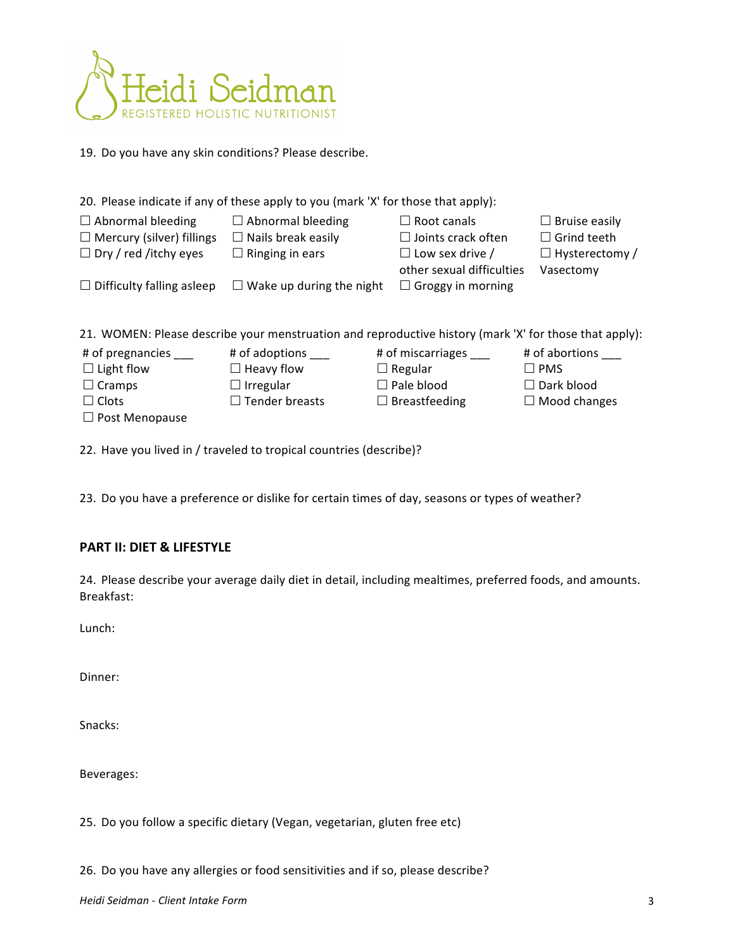

19. Do you have any skin conditions? Please describe.

| 20. Please indicate if any of these apply to you (mark 'X' for those that apply): |                                 |                           |                       |  |
|-----------------------------------------------------------------------------------|---------------------------------|---------------------------|-----------------------|--|
| $\Box$ Abnormal bleeding                                                          | $\Box$ Abnormal bleeding        | $\Box$ Root canals        | $\Box$ Bruise easily  |  |
| $\Box$ Mercury (silver) fillings                                                  | $\Box$ Nails break easily       | $\Box$ Joints crack often | $\Box$ Grind teeth    |  |
| $\Box$ Dry / red /itchy eyes                                                      | $\Box$ Ringing in ears          | $\Box$ Low sex drive /    | $\Box$ Hysterectomy / |  |
|                                                                                   |                                 | other sexual difficulties | Vasectomy             |  |
| $\Box$ Difficulty falling asleep                                                  | $\Box$ Wake up during the night | $\Box$ Groggy in morning  |                       |  |
|                                                                                   |                                 |                           |                       |  |

21. WOMEN: Please describe your menstruation and reproductive history (mark 'X' for those that apply):

| # of pregnancies      | # of adoptions        | # of miscarriages    | # of abortions      |
|-----------------------|-----------------------|----------------------|---------------------|
| $\Box$ Light flow     | $\Box$ Heavy flow     | $\Box$ Regular       | $\sqsupset$ PMS     |
| $\Box$ Cramps         | $\Box$ Irregular      | $\Box$ Pale blood    | $\Box$ Dark blood   |
| $\Box$ Clots          | $\Box$ Tender breasts | $\Box$ Breastfeeding | $\Box$ Mood changes |
| $\Box$ Post Menopause |                       |                      |                     |

22. Have you lived in / traveled to tropical countries (describe)?

23. Do you have a preference or dislike for certain times of day, seasons or types of weather?

## PART II: DIET & LIFESTYLE

24. Please describe your average daily diet in detail, including mealtimes, preferred foods, and amounts. Breakfast:

Lunch:

Dinner:

Snacks:

Beverages:

25. Do you follow a specific dietary (Vegan, vegetarian, gluten free etc)

26. Do you have any allergies or food sensitivities and if so, please describe?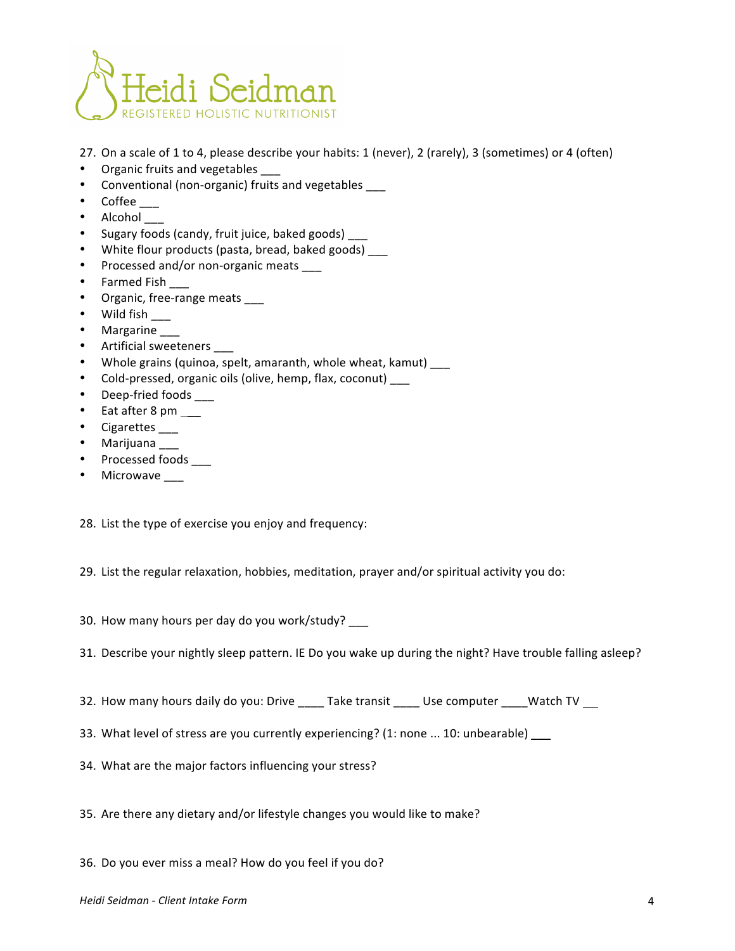

- 27. On a scale of 1 to 4, please describe your habits: 1 (never), 2 (rarely), 3 (sometimes) or 4 (often)
- Organic fruits and vegetables
- Conventional (non-organic) fruits and vegetables
- Coffee
- Alcohol
- Sugary foods (candy, fruit juice, baked goods)
- White flour products (pasta, bread, baked goods) \_\_\_
- Processed and/or non-organic meats \_\_\_
- Farmed Fish \_\_\_
- Organic, free-range meats
- Wild fish  $\_\_$
- Margarine \_\_\_
- Artificial sweeteners \_\_\_
- Whole grains (quinoa, spelt, amaranth, whole wheat, kamut) \_\_\_
- Cold-pressed, organic oils (olive, hemp, flax, coconut) \_\_\_
- Deep-fried foods \_\_\_\_
- Eat after 8 pm  $\_\_$
- Cigarettes \_\_\_\_
- Marijuana \_\_\_
- Processed foods \_\_\_\_
- Microwave \_\_\_

28. List the type of exercise you enjoy and frequency:

29. List the regular relaxation, hobbies, meditation, prayer and/or spiritual activity you do:

30. How many hours per day do you work/study? \_\_\_

- 31. Describe your nightly sleep pattern. IE Do you wake up during the night? Have trouble falling asleep?
- 32. How many hours daily do you: Drive \_\_\_\_\_ Take transit \_\_\_\_\_ Use computer \_\_\_\_ Watch TV
- 33. What level of stress are you currently experiencing? (1: none ... 10: unbearable)  $\_\_$
- 34. What are the major factors influencing your stress?
- 35. Are there any dietary and/or lifestyle changes you would like to make?
- 36. Do you ever miss a meal? How do you feel if you do?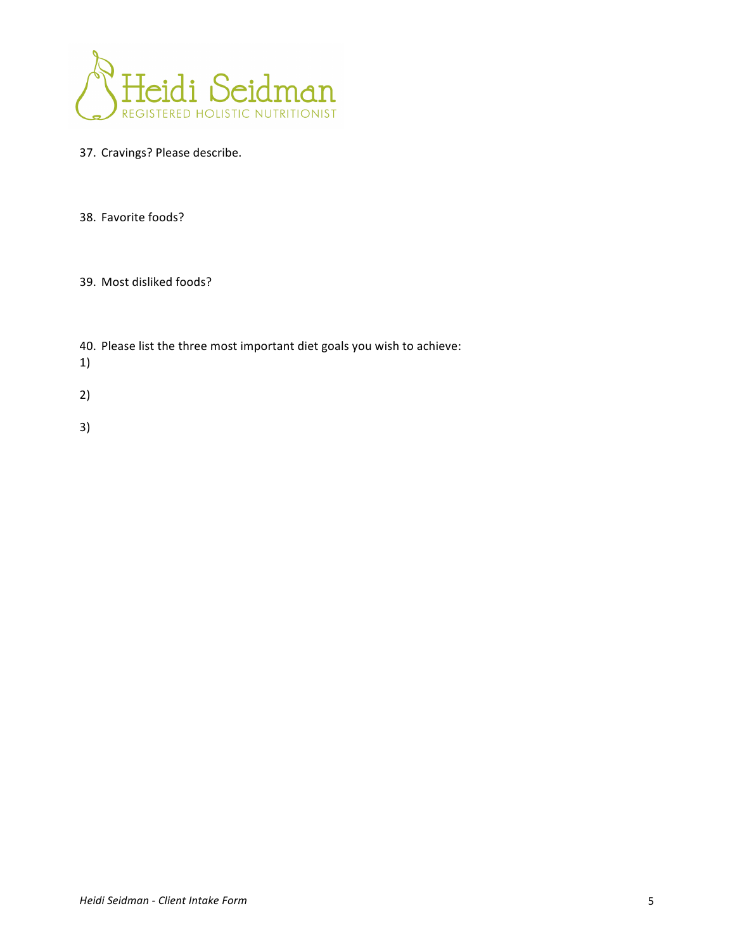

- 37. Cravings? Please describe.
- 38. Favorite foods?
- 39. Most disliked foods?
- 40. Please list the three most important diet goals you wish to achieve:
- 1)
- 2)
- 3)